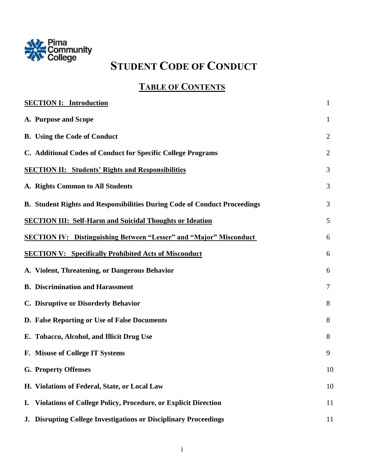

# **STUDENT CODE OF CONDUCT**

## **TABLE OF CONTENTS**

| <b>SECTION I: Introduction</b>                                              | $\mathbf{1}$   |
|-----------------------------------------------------------------------------|----------------|
| A. Purpose and Scope                                                        | $\mathbf{1}$   |
| <b>B.</b> Using the Code of Conduct                                         | $\overline{2}$ |
| C. Additional Codes of Conduct for Specific College Programs                | $\overline{2}$ |
| <b>SECTION II: Students' Rights and Responsibilities</b>                    | 3              |
| A. Rights Common to All Students                                            | 3              |
| B. Student Rights and Responsibilities During Code of Conduct Proceedings   | 3              |
| <b>SECTION III: Self-Harm and Suicidal Thoughts or Ideation</b>             | 5              |
| <b>SECTION IV: Distinguishing Between "Lesser" and "Major" Misconduct</b>   | 6              |
| <b>SECTION V: Specifically Prohibited Acts of Misconduct</b>                | 6              |
| A. Violent, Threatening, or Dangerous Behavior                              | 6              |
| <b>B.</b> Discrimination and Harassment                                     | 7              |
| C. Disruptive or Disorderly Behavior                                        | 8              |
| D. False Reporting or Use of False Documents                                | 8              |
| E. Tobacco, Alcohol, and Illicit Drug Use                                   | 8              |
| F. Misuse of College IT Systems                                             | 9              |
| <b>G. Property Offenses</b>                                                 | 10             |
| H. Violations of Federal, State, or Local Law                               | 10             |
| <b>Violations of College Policy, Procedure, or Explicit Direction</b><br>I. | 11             |
| <b>Disrupting College Investigations or Disciplinary Proceedings</b><br>J.  | 11             |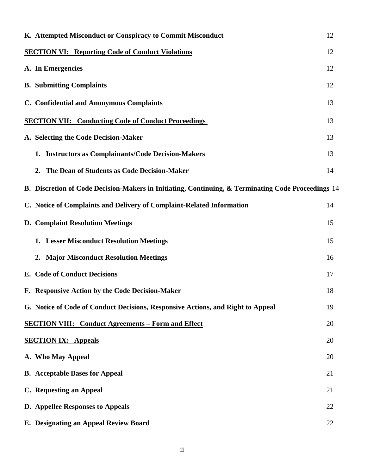| K. Attempted Misconduct or Conspiracy to Commit Misconduct                                         | 12 |
|----------------------------------------------------------------------------------------------------|----|
| <b>SECTION VI: Reporting Code of Conduct Violations</b>                                            | 12 |
| A. In Emergencies                                                                                  | 12 |
| <b>B.</b> Submitting Complaints                                                                    | 12 |
| C. Confidential and Anonymous Complaints                                                           | 13 |
| <b>SECTION VII: Conducting Code of Conduct Proceedings</b>                                         | 13 |
| A. Selecting the Code Decision-Maker                                                               | 13 |
| <b>Instructors as Complainants/Code Decision-Makers</b><br>1.                                      | 13 |
| 2. The Dean of Students as Code Decision-Maker                                                     | 14 |
| B. Discretion of Code Decision-Makers in Initiating, Continuing, & Terminating Code Proceedings 14 |    |
| C. Notice of Complaints and Delivery of Complaint-Related Information                              | 14 |
| <b>D. Complaint Resolution Meetings</b>                                                            | 15 |
| 1. Lesser Misconduct Resolution Meetings                                                           | 15 |
| 2. Major Misconduct Resolution Meetings                                                            | 16 |
| E. Code of Conduct Decisions                                                                       | 17 |
| F. Responsive Action by the Code Decision-Maker                                                    | 18 |
| G. Notice of Code of Conduct Decisions, Responsive Actions, and Right to Appeal                    | 19 |
| <b>SECTION VIII: Conduct Agreements – Form and Effect</b>                                          | 20 |
| <b>SECTION IX: Appeals</b>                                                                         | 20 |
| A. Who May Appeal                                                                                  | 20 |
| <b>B.</b> Acceptable Bases for Appeal                                                              | 21 |
| C. Requesting an Appeal                                                                            | 21 |
| <b>D.</b> Appellee Responses to Appeals                                                            | 22 |
| E. Designating an Appeal Review Board                                                              | 22 |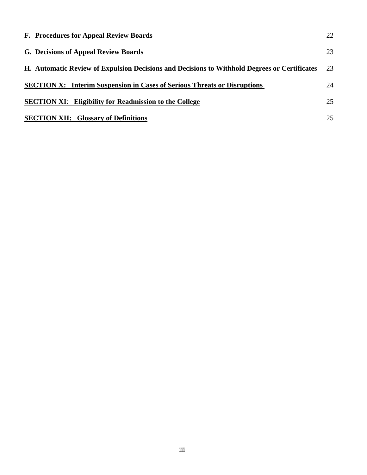| F. Procedures for Appeal Review Boards                                                       | 22 |
|----------------------------------------------------------------------------------------------|----|
| G. Decisions of Appeal Review Boards                                                         | 23 |
| H. Automatic Review of Expulsion Decisions and Decisions to Withhold Degrees or Certificates | 23 |
| <b>SECTION X:</b> Interim Suspension in Cases of Serious Threats or Disruptions              | 24 |
| <b>SECTION XI:</b> Eligibility for Readmission to the College                                | 25 |
| <b>SECTION XII:</b> Glossary of Definitions                                                  | 25 |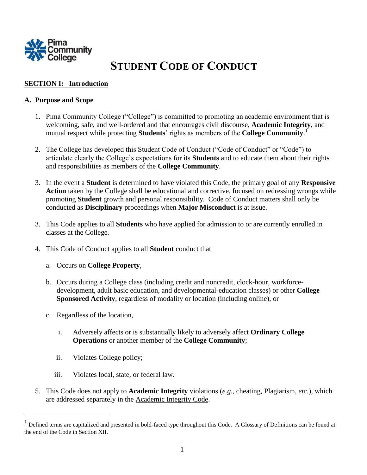

## **STUDENT CODE OF CONDUCT**

## **SECTION I: Introduction**

## **A. Purpose and Scope**

- 1. Pima Community College ("College") is committed to promoting an academic environment that is welcoming, safe, and well-ordered and that encourages civil discourse, **Academic Integrity**, and mutual respect while protecting **Students**' rights as members of the **College Community**. 1
- 2. The College has developed this Student Code of Conduct ("Code of Conduct" or "Code") to articulate clearly the College's expectations for its **Students** and to educate them about their rights and responsibilities as members of the **College Community**.
- 3. In the event a **Student** is determined to have violated this Code, the primary goal of any **Responsive Action** taken by the College shall be educational and corrective, focused on redressing wrongs while promoting **Student** growth and personal responsibility. Code of Conduct matters shall only be conducted as **Disciplinary** proceedings when **Major Misconduct** is at issue.
- 3. This Code applies to all **Students** who have applied for admission to or are currently enrolled in classes at the College.
- 4. This Code of Conduct applies to all **Student** conduct that
	- a. Occurs on **College Property**,
	- b. Occurs during a College class (including credit and noncredit, clock-hour, workforcedevelopment, adult basic education, and developmental-education classes) or other **College Sponsored Activity**, regardless of modality or location (including online), or
	- c. Regardless of the location,

l

- i. Adversely affects or is substantially likely to adversely affect **Ordinary College Operations** or another member of the **College Community**;
- ii. Violates College policy;
- iii. Violates local, state, or federal law.
- 5. This Code does not apply to **Academic Integrity** violations (*e.g.*, cheating, Plagiarism, *etc*.), which are addressed separately in the Academic Integrity Code.

<sup>&</sup>lt;sup>1</sup> Defined terms are capitalized and presented in bold-faced type throughout this Code. A Glossary of Definitions can be found at the end of the Code in Section XII.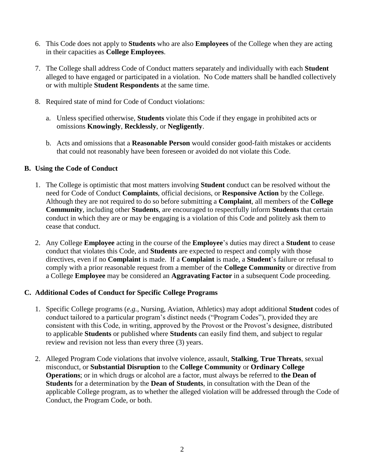- 6. This Code does not apply to **Students** who are also **Employees** of the College when they are acting in their capacities as **College Employees**.
- 7. The College shall address Code of Conduct matters separately and individually with each **Student** alleged to have engaged or participated in a violation. No Code matters shall be handled collectively or with multiple **Student Respondents** at the same time.
- 8. Required state of mind for Code of Conduct violations:
	- a. Unless specified otherwise, **Students** violate this Code if they engage in prohibited acts or omissions **Knowingly**, **Recklessly**, or **Negligently**.
	- b. Acts and omissions that a **Reasonable Person** would consider good-faith mistakes or accidents that could not reasonably have been foreseen or avoided do not violate this Code.

#### **B. Using the Code of Conduct**

- 1. The College is optimistic that most matters involving **Student** conduct can be resolved without the need for Code of Conduct **Complaints**, official decisions, or **Responsive Action** by the College. Although they are not required to do so before submitting a **Complaint**, all members of the **College Community**, including other **Students**, are encouraged to respectfully inform **Students** that certain conduct in which they are or may be engaging is a violation of this Code and politely ask them to cease that conduct.
- 2. Any College **Employee** acting in the course of the **Employee**'s duties may direct a **Student** to cease conduct that violates this Code, and **Students** are expected to respect and comply with those directives, even if no **Complaint** is made. If a **Complaint** is made, a **Student**'s failure or refusal to comply with a prior reasonable request from a member of the **College Community** or directive from a College **Employee** may be considered an **Aggravating Factor** in a subsequent Code proceeding.

## **C. Additional Codes of Conduct for Specific College Programs**

- 1. Specific College programs (*e.g.*, Nursing, Aviation, Athletics) may adopt additional **Student** codes of conduct tailored to a particular program's distinct needs ("Program Codes"), provided they are consistent with this Code, in writing, approved by the Provost or the Provost's designee, distributed to applicable **Students** or published where **Students** can easily find them, and subject to regular review and revision not less than every three (3) years.
- 2. Alleged Program Code violations that involve violence, assault, **Stalking**, **True Threats**, sexual misconduct, or **Substantial Disruption** to the **College Community** or **Ordinary College Operations**; or in which drugs or alcohol are a factor, must always be referred to **the Dean of Students** for a determination by the **Dean of Students**, in consultation with the Dean of the applicable College program, as to whether the alleged violation will be addressed through the Code of Conduct, the Program Code, or both.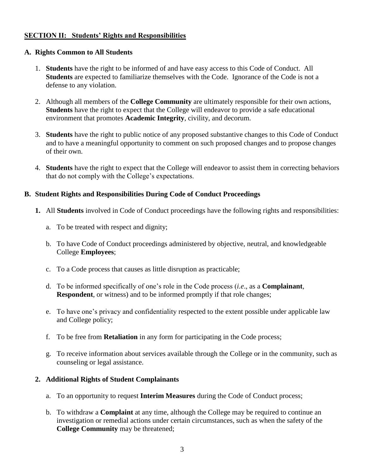## **SECTION II: Students' Rights and Responsibilities**

#### **A. Rights Common to All Students**

- 1. **Students** have the right to be informed of and have easy access to this Code of Conduct. All **Students** are expected to familiarize themselves with the Code. Ignorance of the Code is not a defense to any violation.
- 2. Although all members of the **College Community** are ultimately responsible for their own actions, **Students** have the right to expect that the College will endeavor to provide a safe educational environment that promotes **Academic Integrity**, civility, and decorum.
- 3. **Students** have the right to public notice of any proposed substantive changes to this Code of Conduct and to have a meaningful opportunity to comment on such proposed changes and to propose changes of their own.
- 4. **Students** have the right to expect that the College will endeavor to assist them in correcting behaviors that do not comply with the College's expectations.

## **B. Student Rights and Responsibilities During Code of Conduct Proceedings**

- **1.** All **Students** involved in Code of Conduct proceedings have the following rights and responsibilities:
	- a. To be treated with respect and dignity;
	- b. To have Code of Conduct proceedings administered by objective, neutral, and knowledgeable College **Employees**;
	- c. To a Code process that causes as little disruption as practicable;
	- d. To be informed specifically of one's role in the Code process (*i.e*., as a **Complainant**, **Respondent**, or witness) and to be informed promptly if that role changes;
	- e. To have one's privacy and confidentiality respected to the extent possible under applicable law and College policy;
	- f. To be free from **Retaliation** in any form for participating in the Code process;
	- g. To receive information about services available through the College or in the community, such as counseling or legal assistance.

#### **2. Additional Rights of Student Complainants**

- a. To an opportunity to request **Interim Measures** during the Code of Conduct process;
- b. To withdraw a **Complaint** at any time, although the College may be required to continue an investigation or remedial actions under certain circumstances, such as when the safety of the **College Community** may be threatened;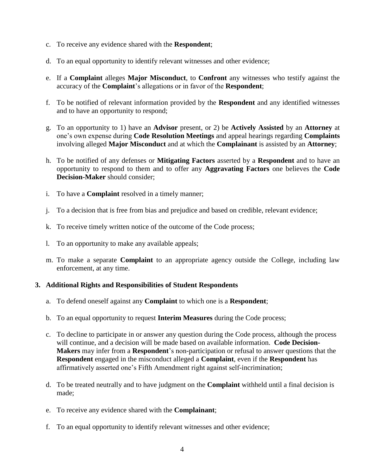- c. To receive any evidence shared with the **Respondent**;
- d. To an equal opportunity to identify relevant witnesses and other evidence;
- e. If a **Complaint** alleges **Major Misconduct**, to **Confront** any witnesses who testify against the accuracy of the **Complaint**'s allegations or in favor of the **Respondent**;
- f. To be notified of relevant information provided by the **Respondent** and any identified witnesses and to have an opportunity to respond;
- g. To an opportunity to 1) have an **Advisor** present, or 2) be **Actively Assisted** by an **Attorney** at one's own expense during **Code Resolution Meetings** and appeal hearings regarding **Complaints** involving alleged **Major Misconduct** and at which the **Complainant** is assisted by an **Attorney**;
- h. To be notified of any defenses or **Mitigating Factors** asserted by a **Respondent** and to have an opportunity to respond to them and to offer any **Aggravating Factors** one believes the **Code Decision-Maker** should consider;
- i. To have a **Complaint** resolved in a timely manner;
- j. To a decision that is free from bias and prejudice and based on credible, relevant evidence;
- k. To receive timely written notice of the outcome of the Code process;
- l. To an opportunity to make any available appeals;
- m. To make a separate **Complaint** to an appropriate agency outside the College, including law enforcement, at any time.

#### **3. Additional Rights and Responsibilities of Student Respondents**

- a. To defend oneself against any **Complaint** to which one is a **Respondent**;
- b. To an equal opportunity to request **Interim Measures** during the Code process;
- c. To decline to participate in or answer any question during the Code process, although the process will continue, and a decision will be made based on available information. **Code Decision-Makers** may infer from a **Respondent**'s non-participation or refusal to answer questions that the **Respondent** engaged in the misconduct alleged a **Complaint**, even if the **Respondent** has affirmatively asserted one's Fifth Amendment right against self-incrimination;
- d. To be treated neutrally and to have judgment on the **Complaint** withheld until a final decision is made;
- e. To receive any evidence shared with the **Complainant**;
- f. To an equal opportunity to identify relevant witnesses and other evidence;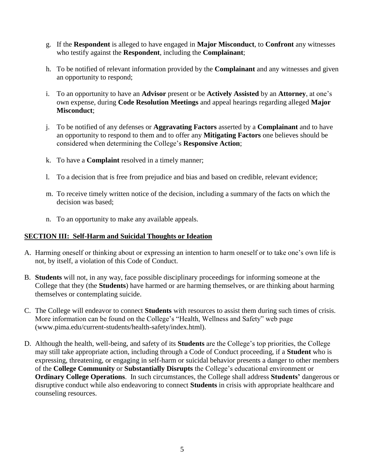- g. If the **Respondent** is alleged to have engaged in **Major Misconduct**, to **Confront** any witnesses who testify against the **Respondent**, including the **Complainant**;
- h. To be notified of relevant information provided by the **Complainant** and any witnesses and given an opportunity to respond;
- i. To an opportunity to have an **Advisor** present or be **Actively Assisted** by an **Attorney**, at one's own expense, during **Code Resolution Meetings** and appeal hearings regarding alleged **Major Misconduct**;
- j. To be notified of any defenses or **Aggravating Factors** asserted by a **Complainant** and to have an opportunity to respond to them and to offer any **Mitigating Factors** one believes should be considered when determining the College's **Responsive Action**;
- k. To have a **Complaint** resolved in a timely manner;
- l. To a decision that is free from prejudice and bias and based on credible, relevant evidence;
- m. To receive timely written notice of the decision, including a summary of the facts on which the decision was based;
- n. To an opportunity to make any available appeals.

#### **SECTION III: Self-Harm and Suicidal Thoughts or Ideation**

- A. Harming oneself or thinking about or expressing an intention to harm oneself or to take one's own life is not, by itself, a violation of this Code of Conduct.
- B. **Students** will not, in any way, face possible disciplinary proceedings for informing someone at the College that they (the **Students**) have harmed or are harming themselves, or are thinking about harming themselves or contemplating suicide.
- C. The College will endeavor to connect **Students** with resources to assist them during such times of crisis. More information can be found on the College's "Health, Wellness and Safety" web page (www.pima.edu/current-students/health-safety/index.html).
- D. Although the health, well-being, and safety of its **Students** are the College's top priorities, the College may still take appropriate action, including through a Code of Conduct proceeding, if a **Student** who is expressing, threatening, or engaging in self-harm or suicidal behavior presents a danger to other members of the **College Community** or **Substantially Disrupts** the College's educational environment or **Ordinary College Operations**. In such circumstances, the College shall address **Students'** dangerous or disruptive conduct while also endeavoring to connect **Students** in crisis with appropriate healthcare and counseling resources.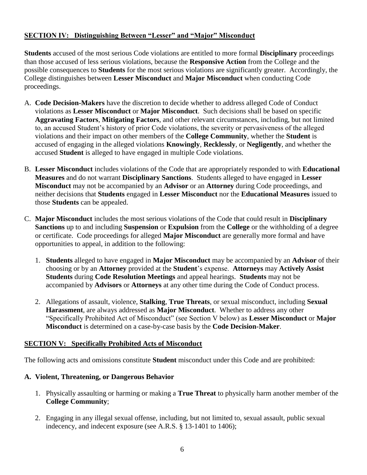## **SECTION IV: Distinguishing Between "Lesser" and "Major" Misconduct**

**Students** accused of the most serious Code violations are entitled to more formal **Disciplinary** proceedings than those accused of less serious violations, because the **Responsive Action** from the College and the possible consequences to **Students** for the most serious violations are significantly greater. Accordingly, the College distinguishes between **Lesser Misconduct** and **Major Misconduct** when conducting Code proceedings.

- A. **Code Decision-Makers** have the discretion to decide whether to address alleged Code of Conduct violations as **Lesser Misconduct** or **Major Misconduct**. Such decisions shall be based on specific **Aggravating Factors**, **Mitigating Factors**, and other relevant circumstances, including, but not limited to, an accused Student's history of prior Code violations, the severity or pervasiveness of the alleged violations and their impact on other members of the **College Community**, whether the **Student** is accused of engaging in the alleged violations **Knowingly**, **Recklessly**, or **Negligently**, and whether the accused **Student** is alleged to have engaged in multiple Code violations.
- B. **Lesser Misconduct** includes violations of the Code that are appropriately responded to with **Educational Measures** and do not warrant **Disciplinary Sanctions**. Students alleged to have engaged in **Lesser Misconduct** may not be accompanied by an **Advisor** or an **Attorney** during Code proceedings, and neither decisions that **Students** engaged in **Lesser Misconduct** nor the **Educational Measures** issued to those **Students** can be appealed.
- C. **Major Misconduct** includes the most serious violations of the Code that could result in **Disciplinary Sanctions** up to and including **Suspension** or **Expulsion** from the **College** or the withholding of a degree or certificate. Code proceedings for alleged **Major Misconduct** are generally more formal and have opportunities to appeal, in addition to the following:
	- 1. **Students** alleged to have engaged in **Major Misconduct** may be accompanied by an **Advisor** of their choosing or by an **Attorney** provided at the **Student**'s expense. **Attorneys** may **Actively Assist Students** during **Code Resolution Meetings** and appeal hearings. **Students** may not be accompanied by **Advisors** or **Attorneys** at any other time during the Code of Conduct process.
	- 2. Allegations of assault, violence, **Stalking**, **True Threats**, or sexual misconduct, including **Sexual Harassment**, are always addressed as **Major Misconduct**. Whether to address any other "Specifically Prohibited Act of Misconduct" (see Section V below) as **Lesser Misconduct** or **Major Misconduct** is determined on a case-by-case basis by the **Code Decision-Maker**.

## **SECTION V: Specifically Prohibited Acts of Misconduct**

The following acts and omissions constitute **Student** misconduct under this Code and are prohibited:

## **A. Violent, Threatening, or Dangerous Behavior**

- 1. Physically assaulting or harming or making a **True Threat** to physically harm another member of the **College Community**;
- 2. Engaging in any illegal sexual offense, including, but not limited to, sexual assault, public sexual indecency, and indecent exposure (see A.R.S. § 13-1401 to 1406);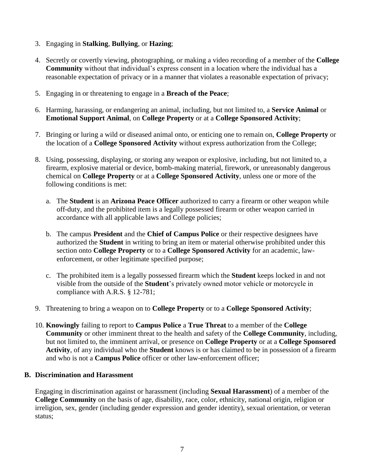- 3. Engaging in **Stalking**, **Bullying**, or **Hazing**;
- 4. Secretly or covertly viewing, photographing, or making a video recording of a member of the **College Community** without that individual's express consent in a location where the individual has a reasonable expectation of privacy or in a manner that violates a reasonable expectation of privacy;
- 5. Engaging in or threatening to engage in a **Breach of the Peace**;
- 6. Harming, harassing, or endangering an animal, including, but not limited to, a **Service Animal** or **Emotional Support Animal**, on **College Property** or at a **College Sponsored Activity**;
- 7. Bringing or luring a wild or diseased animal onto, or enticing one to remain on, **College Property** or the location of a **College Sponsored Activity** without express authorization from the College;
- 8. Using, possessing, displaying, or storing any weapon or explosive, including, but not limited to, a firearm, explosive material or device, bomb-making material, firework, or unreasonably dangerous chemical on **College Property** or at a **College Sponsored Activity**, unless one or more of the following conditions is met:
	- a. The **Student** is an **Arizona Peace Officer** authorized to carry a firearm or other weapon while off-duty, and the prohibited item is a legally possessed firearm or other weapon carried in accordance with all applicable laws and College policies;
	- b. The campus **President** and the **Chief of Campus Police** or their respective designees have authorized the **Student** in writing to bring an item or material otherwise prohibited under this section onto **College Property** or to a **College Sponsored Activity** for an academic, lawenforcement, or other legitimate specified purpose;
	- c. The prohibited item is a legally possessed firearm which the **Student** keeps locked in and not visible from the outside of the **Student**'s privately owned motor vehicle or motorcycle in compliance with A.R.S. § 12-781;
- 9. Threatening to bring a weapon on to **College Property** or to a **College Sponsored Activity**;
- 10. **Knowingly** failing to report to **Campus Police** a **True Threat** to a member of the **College Community** or other imminent threat to the health and safety of the **College Community**, including, but not limited to, the imminent arrival, or presence on **College Property** or at a **College Sponsored Activity**, of any individual who the **Student** knows is or has claimed to be in possession of a firearm and who is not a **Campus Police** officer or other law-enforcement officer;

## **B. Discrimination and Harassment**

Engaging in discrimination against or harassment (including **Sexual Harassment**) of a member of the **College Community** on the basis of age, disability, race, color, ethnicity, national origin, religion or irreligion, sex, gender (including gender expression and gender identity), sexual orientation, or veteran status;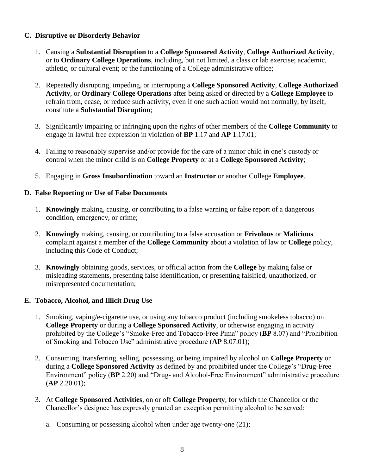## **C. Disruptive or Disorderly Behavior**

- 1. Causing a **Substantial Disruption** to a **College Sponsored Activity**, **College Authorized Activity**, or to **Ordinary College Operations**, including, but not limited, a class or lab exercise; academic, athletic, or cultural event; or the functioning of a College administrative office;
- 2. Repeatedly disrupting, impeding, or interrupting a **College Sponsored Activity**, **College Authorized Activity**, or **Ordinary College Operations** after being asked or directed by a **College Employee** to refrain from, cease, or reduce such activity, even if one such action would not normally, by itself, constitute a **Substantial Disruption**;
- 3. Significantly impairing or infringing upon the rights of other members of the **College Community** to engage in lawful free expression in violation of **BP** 1.17 and **AP** 1.17.01;
- 4. Failing to reasonably supervise and/or provide for the care of a minor child in one's custody or control when the minor child is on **College Property** or at a **College Sponsored Activity**;
- 5. Engaging in **Gross Insubordination** toward an **Instructor** or another College **Employee**.

## **D. False Reporting or Use of False Documents**

- 1. **Knowingly** making, causing, or contributing to a false warning or false report of a dangerous condition, emergency, or crime;
- 2. **Knowingly** making, causing, or contributing to a false accusation or **Frivolous** or **Malicious** complaint against a member of the **College Community** about a violation of law or **College** policy, including this Code of Conduct;
- 3. **Knowingly** obtaining goods, services, or official action from the **College** by making false or misleading statements, presenting false identification, or presenting falsified, unauthorized, or misrepresented documentation;

## **E. Tobacco, Alcohol, and Illicit Drug Use**

- 1. Smoking, vaping/e-cigarette use, or using any tobacco product (including smokeless tobacco) on **College Property** or during a **College Sponsored Activity**, or otherwise engaging in activity prohibited by the College's "Smoke-Free and Tobacco-Free Pima" policy (**BP** 8.07) and "Prohibition of Smoking and Tobacco Use" administrative procedure (**AP** 8.07.01);
- 2. Consuming, transferring, selling, possessing, or being impaired by alcohol on **College Property** or during a **College Sponsored Activity** as defined by and prohibited under the College's "Drug-Free Environment" policy (**BP** 2.20) and "Drug- and Alcohol-Free Environment" administrative procedure (**AP** 2.20.01);
- 3. At **College Sponsored Activities**, on or off **College Property**, for which the Chancellor or the Chancellor's designee has expressly granted an exception permitting alcohol to be served:
	- a. Consuming or possessing alcohol when under age twenty-one (21);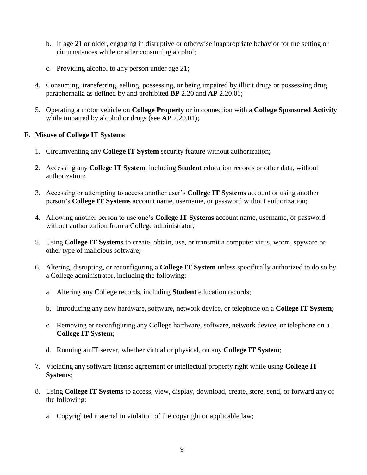- b. If age 21 or older, engaging in disruptive or otherwise inappropriate behavior for the setting or circumstances while or after consuming alcohol;
- c. Providing alcohol to any person under age 21;
- 4. Consuming, transferring, selling, possessing, or being impaired by illicit drugs or possessing drug paraphernalia as defined by and prohibited **BP** 2.20 and **AP** 2.20.01;
- 5. Operating a motor vehicle on **College Property** or in connection with a **College Sponsored Activity** while impaired by alcohol or drugs (see **AP** 2.20.01);

## **F. Misuse of College IT Systems**

- 1. Circumventing any **College IT System** security feature without authorization;
- 2. Accessing any **College IT System**, including **Student** education records or other data, without authorization;
- 3. Accessing or attempting to access another user's **College IT Systems** account or using another person's **College IT Systems** account name, username, or password without authorization;
- 4. Allowing another person to use one's **College IT Systems** account name, username, or password without authorization from a College administrator;
- 5. Using **College IT Systems** to create, obtain, use, or transmit a computer virus, worm, spyware or other type of malicious software;
- 6. Altering, disrupting, or reconfiguring a **College IT System** unless specifically authorized to do so by a College administrator, including the following:
	- a. Altering any College records, including **Student** education records;
	- b. Introducing any new hardware, software, network device, or telephone on a **College IT System**;
	- c. Removing or reconfiguring any College hardware, software, network device, or telephone on a **College IT System**;
	- d. Running an IT server, whether virtual or physical, on any **College IT System**;
- 7. Violating any software license agreement or intellectual property right while using **College IT Systems**;
- 8. Using **College IT Systems** to access, view, display, download, create, store, send, or forward any of the following:
	- a. Copyrighted material in violation of the copyright or applicable law;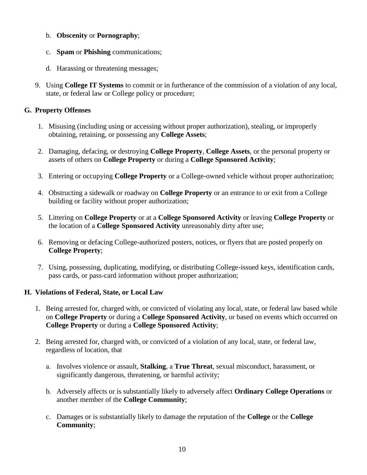- b. **Obscenity** or **Pornography**;
- c. **Spam** or **Phishing** communications;
- d. Harassing or threatening messages;
- 9. Using **College IT Systems** to commit or in furtherance of the commission of a violation of any local, state, or federal law or College policy or procedure;

## **G. Property Offenses**

- 1. Misusing (including using or accessing without proper authorization), stealing, or improperly obtaining, retaining, or possessing any **College Assets**;
- 2. Damaging, defacing, or destroying **College Property**, **College Assets**, or the personal property or assets of others on **College Property** or during a **College Sponsored Activity**;
- 3. Entering or occupying **College Property** or a College-owned vehicle without proper authorization;
- 4. Obstructing a sidewalk or roadway on **College Property** or an entrance to or exit from a College building or facility without proper authorization;
- 5. Littering on **College Property** or at a **College Sponsored Activity** or leaving **College Property** or the location of a **College Sponsored Activity** unreasonably dirty after use;
- 6. Removing or defacing College-authorized posters, notices, or flyers that are posted properly on **College Property**;
- 7. Using, possessing, duplicating, modifying, or distributing College-issued keys, identification cards, pass cards, or pass-card information without proper authorization;

## **H. Violations of Federal, State, or Local Law**

- 1. Being arrested for, charged with, or convicted of violating any local, state, or federal law based while on **College Property** or during a **College Sponsored Activity**, or based on events which occurred on **College Property** or during a **College Sponsored Activity**;
- 2. Being arrested for, charged with, or convicted of a violation of any local, state, or federal law, regardless of location, that
	- a. Involves violence or assault, **Stalking**, a **True Threat**, sexual misconduct, harassment, or significantly dangerous, threatening, or harmful activity;
	- b. Adversely affects or is substantially likely to adversely affect **Ordinary College Operations** or another member of the **College Community**;
	- c. Damages or is substantially likely to damage the reputation of the **College** or the **College Community**;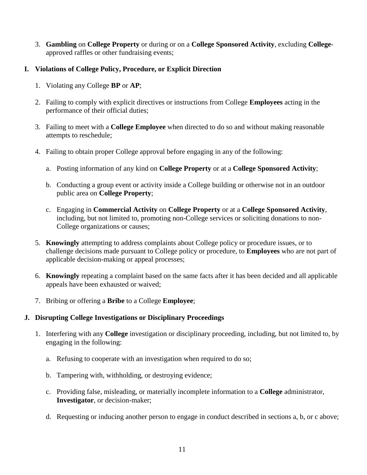3. **Gambling** on **College Property** or during or on a **College Sponsored Activity**, excluding **College**approved raffles or other fundraising events;

## **I. Violations of College Policy, Procedure, or Explicit Direction**

- 1. Violating any College **BP** or **AP**;
- 2. Failing to comply with explicit directives or instructions from College **Employees** acting in the performance of their official duties;
- 3. Failing to meet with a **College Employee** when directed to do so and without making reasonable attempts to reschedule;
- 4. Failing to obtain proper College approval before engaging in any of the following:
	- a. Posting information of any kind on **College Property** or at a **College Sponsored Activity**;
	- b. Conducting a group event or activity inside a College building or otherwise not in an outdoor public area on **College Property**;
	- c. Engaging in **Commercial Activity** on **College Property** or at a **College Sponsored Activity**, including, but not limited to, promoting non-College services or soliciting donations to non-College organizations or causes;
- 5. **Knowingly** attempting to address complaints about College policy or procedure issues, or to challenge decisions made pursuant to College policy or procedure, to **Employees** who are not part of applicable decision-making or appeal processes;
- 6. **Knowingly** repeating a complaint based on the same facts after it has been decided and all applicable appeals have been exhausted or waived;
- 7. Bribing or offering a **Bribe** to a College **Employee**;

## **J. Disrupting College Investigations or Disciplinary Proceedings**

- 1. Interfering with any **College** investigation or disciplinary proceeding, including, but not limited to, by engaging in the following:
	- a. Refusing to cooperate with an investigation when required to do so;
	- b. Tampering with, withholding, or destroying evidence;
	- c. Providing false, misleading, or materially incomplete information to a **College** administrator, **Investigator**, or decision-maker;
	- d. Requesting or inducing another person to engage in conduct described in sections a, b, or c above;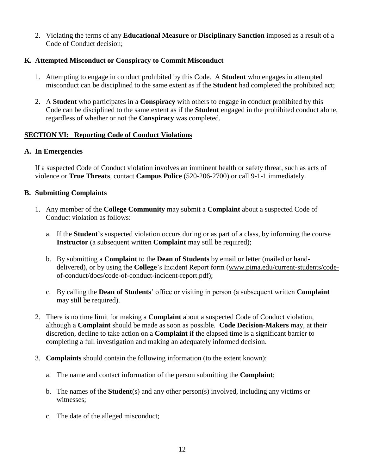2. Violating the terms of any **Educational Measure** or **Disciplinary Sanction** imposed as a result of a Code of Conduct decision;

## **K. Attempted Misconduct or Conspiracy to Commit Misconduct**

- 1. Attempting to engage in conduct prohibited by this Code. A **Student** who engages in attempted misconduct can be disciplined to the same extent as if the **Student** had completed the prohibited act;
- 2. A **Student** who participates in a **Conspiracy** with others to engage in conduct prohibited by this Code can be disciplined to the same extent as if the **Student** engaged in the prohibited conduct alone, regardless of whether or not the **Conspiracy** was completed.

## **SECTION VI: Reporting Code of Conduct Violations**

## **A. In Emergencies**

If a suspected Code of Conduct violation involves an imminent health or safety threat, such as acts of violence or **True Threats**, contact **Campus Police** (520-206-2700) or call 9-1-1 immediately.

## **B. Submitting Complaints**

- 1. Any member of the **College Community** may submit a **Complaint** about a suspected Code of Conduct violation as follows:
	- a. If the **Student**'s suspected violation occurs during or as part of a class, by informing the course **Instructor** (a subsequent written **Complaint** may still be required);
	- b. By submitting a **Complaint** to the **Dean of Students** by email or letter (mailed or handdelivered), or by using the **College**'s Incident Report form [\(www.pima.edu/current-students/code](http://www.pima.edu/current-students/code-of-conduct/docs/code-of-conduct-incident-report.pdf)[of-conduct/docs/code-of-conduct-incident-report.pdf\)](http://www.pima.edu/current-students/code-of-conduct/docs/code-of-conduct-incident-report.pdf);
	- c. By calling the **Dean of Students**' office or visiting in person (a subsequent written **Complaint** may still be required).
- 2. There is no time limit for making a **Complaint** about a suspected Code of Conduct violation, although a **Complaint** should be made as soon as possible. **Code Decision-Makers** may, at their discretion, decline to take action on a **Complaint** if the elapsed time is a significant barrier to completing a full investigation and making an adequately informed decision.
- 3. **Complaints** should contain the following information (to the extent known):
	- a. The name and contact information of the person submitting the **Complaint**;
	- b. The names of the **Student**(s) and any other person(s) involved, including any victims or witnesses;
	- c. The date of the alleged misconduct;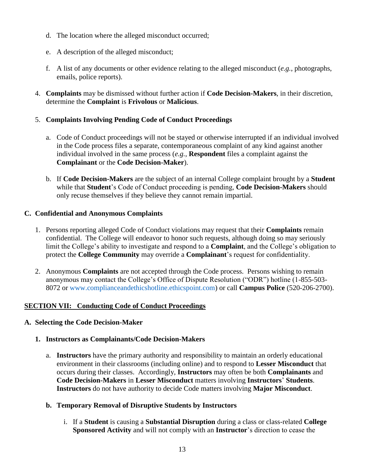- d. The location where the alleged misconduct occurred;
- e. A description of the alleged misconduct;
- f. A list of any documents or other evidence relating to the alleged misconduct (*e.g.*, photographs, emails, police reports).
- 4. **Complaints** may be dismissed without further action if **Code Decision-Makers**, in their discretion, determine the **Complaint** is **Frivolous** or **Malicious**.

#### 5. **Complaints Involving Pending Code of Conduct Proceedings**

- a. Code of Conduct proceedings will not be stayed or otherwise interrupted if an individual involved in the Code process files a separate, contemporaneous complaint of any kind against another individual involved in the same process (*e.g.*, **Respondent** files a complaint against the **Complainant** or the **Code Decision-Maker**).
- b. If **Code Decision-Makers** are the subject of an internal College complaint brought by a **Student** while that **Student**'s Code of Conduct proceeding is pending, **Code Decision-Makers** should only recuse themselves if they believe they cannot remain impartial.

#### **C. Confidential and Anonymous Complaints**

- 1. Persons reporting alleged Code of Conduct violations may request that their **Complaints** remain confidential. The College will endeavor to honor such requests, although doing so may seriously limit the College's ability to investigate and respond to a **Complaint**, and the College's obligation to protect the **College Community** may override a **Complainant**'s request for confidentiality.
- 2. Anonymous **Complaints** are not accepted through the Code process. Persons wishing to remain anonymous may contact the College's Office of Dispute Resolution ("ODR") hotline (1-855-503- 8072 or [www.complianceandethicshotline.ethicspoint.com\)](http://www.complianceandethicshotline.ethicspoint.com/) or call **Campus Police** (520-206-2700).

## **SECTION VII: Conducting Code of Conduct Proceedings**

#### **A. Selecting the Code Decision-Maker**

#### **1. Instructors as Complainants/Code Decision-Makers**

a. **Instructors** have the primary authority and responsibility to maintain an orderly educational environment in their classrooms (including online) and to respond to **Lesser Misconduct** that occurs during their classes. Accordingly, **Instructors** may often be both **Complainants** and **Code Decision-Makers** in **Lesser Misconduct** matters involving **Instructors**' **Students**. **Instructors** do not have authority to decide Code matters involving **Major Misconduct**.

#### **b. Temporary Removal of Disruptive Students by Instructors**

i. If a **Student** is causing a **Substantial Disruption** during a class or class-related **College Sponsored Activity** and will not comply with an **Instructor**'s direction to cease the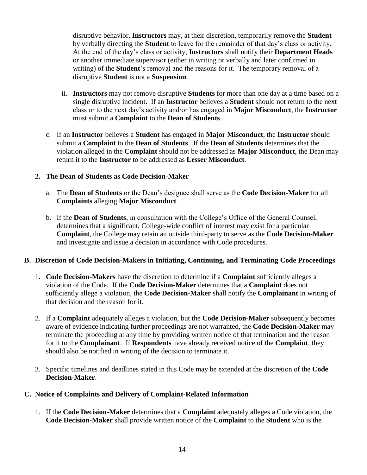disruptive behavior, **Instructors** may, at their discretion, temporarily remove the **Student** by verbally directing the **Student** to leave for the remainder of that day's class or activity. At the end of the day's class or activity, **Instructors** shall notify their **Department Heads** or another immediate supervisor (either in writing or verbally and later confirmed in writing) of the **Student**'s removal and the reasons for it. The temporary removal of a disruptive **Student** is not a **Suspension**.

- ii. **Instructors** may not remove disruptive **Students** for more than one day at a time based on a single disruptive incident. If an **Instructor** believes a **Student** should not return to the next class or to the next day's activity and/or has engaged in **Major Misconduct**, the **Instructor**  must submit a **Complaint** to the **Dean of Students**.
- c. If an **Instructor** believes a **Student** has engaged in **Major Misconduct**, the **Instructor** should submit a **Complaint** to the **Dean of Students**. If the **Dean of Students** determines that the violation alleged in the **Complaint** should not be addressed as **Major Misconduct**, the Dean may return it to the **Instructor** to be addressed as **Lesser Misconduct**.

## **2. The Dean of Students as Code Decision-Maker**

- a. The **Dean of Students** or the Dean's designee shall serve as the **Code Decision-Maker** for all **Complaints** alleging **Major Misconduct**.
- b. If the **Dean of Students**, in consultation with the College's Office of the General Counsel, determines that a significant, College-wide conflict of interest may exist for a particular **Complaint**, the College may retain an outside third-party to serve as the **Code Decision-Maker** and investigate and issue a decision in accordance with Code procedures.

## **B. Discretion of Code Decision-Makers in Initiating, Continuing, and Terminating Code Proceedings**

- 1. **Code Decision-Makers** have the discretion to determine if a **Complaint** sufficiently alleges a violation of the Code. If the **Code Decision-Maker** determines that a **Complaint** does not sufficiently allege a violation, the **Code Decision-Maker** shall notify the **Complainant** in writing of that decision and the reason for it.
- 2. If a **Complaint** adequately alleges a violation, but the **Code Decision-Maker** subsequently becomes aware of evidence indicating further proceedings are not warranted, the **Code Decision-Maker** may terminate the proceeding at any time by providing written notice of that termination and the reason for it to the **Complainant**. If **Respondents** have already received notice of the **Complaint**, they should also be notified in writing of the decision to terminate it.
- 3. Specific timelines and deadlines stated in this Code may be extended at the discretion of the **Code Decision-Maker**.

## **C. Notice of Complaints and Delivery of Complaint-Related Information**

1. If the **Code Decision-Maker** determines that a **Complaint** adequately alleges a Code violation, the **Code Decision-Maker** shall provide written notice of the **Complaint** to the **Student** who is the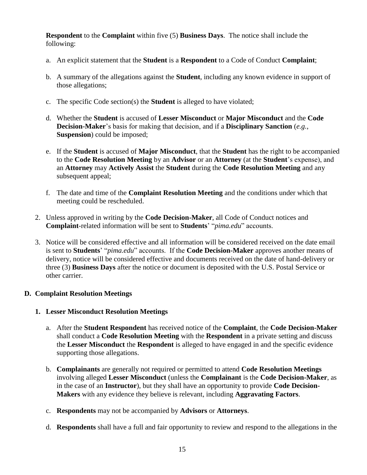**Respondent** to the **Complaint** within five (5) **Business Days**. The notice shall include the following:

- a. An explicit statement that the **Student** is a **Respondent** to a Code of Conduct **Complaint**;
- b. A summary of the allegations against the **Student**, including any known evidence in support of those allegations;
- c. The specific Code section(s) the **Student** is alleged to have violated;
- d. Whether the **Student** is accused of **Lesser Misconduct** or **Major Misconduct** and the **Code Decision-Maker**'s basis for making that decision, and if a **Disciplinary Sanction** (*e.g.*, **Suspension**) could be imposed;
- e. If the **Student** is accused of **Major Misconduct**, that the **Student** has the right to be accompanied to the **Code Resolution Meeting** by an **Advisor** or an **Attorney** (at the **Student**'s expense), and an **Attorney** may **Actively Assist** the **Student** during the **Code Resolution Meeting** and any subsequent appeal;
- f. The date and time of the **Complaint Resolution Meeting** and the conditions under which that meeting could be rescheduled.
- 2. Unless approved in writing by the **Code Decision-Maker**, all Code of Conduct notices and **Complaint**-related information will be sent to **Students**' "*pima.edu*" accounts.
- 3. Notice will be considered effective and all information will be considered received on the date email is sent to **Students**' "*pima.edu*" accounts. If the **Code Decision-Maker** approves another means of delivery, notice will be considered effective and documents received on the date of hand-delivery or three (3) **Business Days** after the notice or document is deposited with the U.S. Postal Service or other carrier.

## **D. Complaint Resolution Meetings**

## **1. Lesser Misconduct Resolution Meetings**

- a. After the **Student Respondent** has received notice of the **Complaint**, the **Code Decision-Maker**  shall conduct a **Code Resolution Meeting** with the **Respondent** in a private setting and discuss the **Lesser Misconduct** the **Respondent** is alleged to have engaged in and the specific evidence supporting those allegations.
- b. **Complainants** are generally not required or permitted to attend **Code Resolution Meetings** involving alleged **Lesser Misconduct** (unless the **Complainant** is the **Code Decision-Maker**, as in the case of an **Instructor**), but they shall have an opportunity to provide **Code Decision-Makers** with any evidence they believe is relevant, including **Aggravating Factors**.
- c. **Respondents** may not be accompanied by **Advisors** or **Attorneys**.
- d. **Respondents** shall have a full and fair opportunity to review and respond to the allegations in the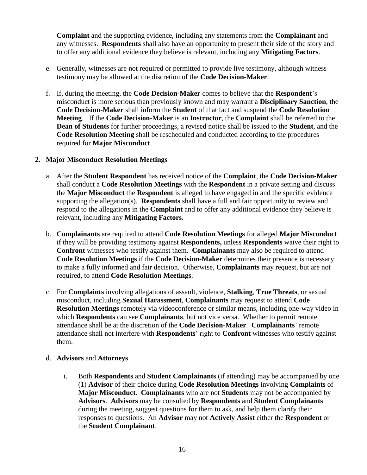**Complaint** and the supporting evidence, including any statements from the **Complainant** and any witnesses. **Respondents** shall also have an opportunity to present their side of the story and to offer any additional evidence they believe is relevant, including any **Mitigating Factors**.

- e. Generally, witnesses are not required or permitted to provide live testimony, although witness testimony may be allowed at the discretion of the **Code Decision-Maker**.
- f. If, during the meeting, the **Code Decision-Maker** comes to believe that the **Respondent**'s misconduct is more serious than previously known and may warrant a **Disciplinary Sanction**, the **Code Decision-Maker** shall inform the **Student** of that fact and suspend the **Code Resolution Meeting**. If the **Code Decision-Maker** is an **Instructor**, the **Complaint** shall be referred to the **Dean of Students** for further proceedings, a revised notice shall be issued to the **Student**, and the **Code Resolution Meeting** shall be rescheduled and conducted according to the procedures required for **Major Misconduct**.

#### **2. Major Misconduct Resolution Meetings**

- a. After the **Student Respondent** has received notice of the **Complaint**, the **Code Decision-Maker** shall conduct a **Code Resolution Meetings** with the **Respondent** in a private setting and discuss the **Major Misconduct** the **Respondent** is alleged to have engaged in and the specific evidence supporting the allegation(s). **Respondents** shall have a full and fair opportunity to review and respond to the allegations in the **Complaint** and to offer any additional evidence they believe is relevant, including any **Mitigating Factors**.
- b. **Complainants** are required to attend **Code Resolution Meetings** for alleged **Major Misconduct** if they will be providing testimony against **Respondents,** unless **Respondents** waive their right to **Confront** witnesses who testify against them. **Complainants** may also be required to attend **Code Resolution Meetings** if the **Code Decision-Maker** determines their presence is necessary to make a fully informed and fair decision. Otherwise, **Complainants** may request, but are not required, to attend **Code Resolution Meetings**.
- c. For **Complaints** involving allegations of assault, violence, **Stalking**, **True Threats**, or sexual misconduct, including **Sexual Harassment**, **Complainants** may request to attend **Code Resolution Meetings** remotely via videoconference or similar means, including one-way video in which **Respondents** can see **Complainants**, but not vice versa. Whether to permit remote attendance shall be at the discretion of the **Code Decision-Maker**. **Complainants**' remote attendance shall not interfere with **Respondents**' right to **Confront** witnesses who testify against them.

#### d. **Advisors** and **Attorneys**

i. Both **Respondents** and **Student Complainants** (if attending) may be accompanied by one (1) **Advisor** of their choice during **Code Resolution Meetings** involving **Complaints** of **Major Misconduct**. **Complainants** who are not **Students** may not be accompanied by **Advisors**. **Advisors** may be consulted by **Respondents** and **Student Complainants** during the meeting, suggest questions for them to ask, and help them clarify their responses to questions. An **Advisor** may not **Actively Assist** either the **Respondent** or the **Student Complainant**.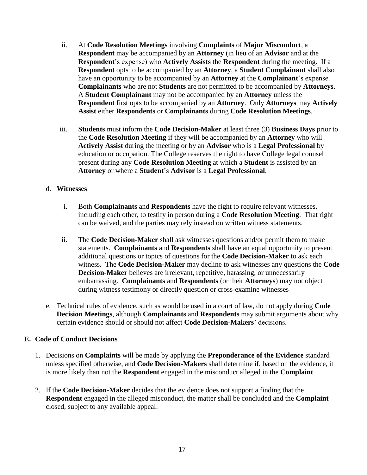- ii. At **Code Resolution Meetings** involving **Complaints** of **Major Misconduct**, a **Respondent** may be accompanied by an **Attorney** (in lieu of an **Advisor** and at the **Respondent**'s expense) who **Actively Assists** the **Respondent** during the meeting. If a **Respondent** opts to be accompanied by an **Attorney**, a **Student Complainant** shall also have an opportunity to be accompanied by an **Attorney** at the **Complainant**'s expense. **Complainants** who are not **Students** are not permitted to be accompanied by **Attorneys**. A **Student Complainant** may not be accompanied by an **Attorney** unless the **Respondent** first opts to be accompanied by an **Attorney**. Only **Attorneys** may **Actively Assist** either **Respondents** or **Complainants** during **Code Resolution Meetings**.
- iii. **Students** must inform the **Code Decision-Maker** at least three (3) **Business Days** prior to the **Code Resolution Meeting** if they will be accompanied by an **Attorney** who will **Actively Assist** during the meeting or by an **Advisor** who is a **Legal Professional** by education or occupation. The College reserves the right to have College legal counsel present during any **Code Resolution Meeting** at which a **Student** is assisted by an **Attorney** or where a **Student**'s **Advisor** is a **Legal Professional**.

#### d. **Witnesses**

- i. Both **Complainants** and **Respondents** have the right to require relevant witnesses, including each other, to testify in person during a **Code Resolution Meeting**. That right can be waived, and the parties may rely instead on written witness statements.
- ii. The **Code Decision-Maker** shall ask witnesses questions and/or permit them to make statements. **Complainants** and **Respondents** shall have an equal opportunity to present additional questions or topics of questions for the **Code Decision-Maker** to ask each witness. The **Code Decision-Maker** may decline to ask witnesses any questions the **Code Decision-Maker** believes are irrelevant, repetitive, harassing, or unnecessarily embarrassing. **Complainants** and **Respondents** (or their **Attorneys**) may not object during witness testimony or directly question or cross-examine witnesses
- e. Technical rules of evidence, such as would be used in a court of law, do not apply during **Code Decision Meetings**, although **Complainants** and **Respondents** may submit arguments about why certain evidence should or should not affect **Code Decision-Makers**' decisions.

#### **E. Code of Conduct Decisions**

- 1. Decisions on **Complaints** will be made by applying the **Preponderance of the Evidence** standard unless specified otherwise, and **Code Decision-Makers** shall determine if, based on the evidence, it is more likely than not the **Respondent** engaged in the misconduct alleged in the **Complaint**.
- 2. If the **Code Decision-Maker** decides that the evidence does not support a finding that the **Respondent** engaged in the alleged misconduct, the matter shall be concluded and the **Complaint** closed, subject to any available appeal.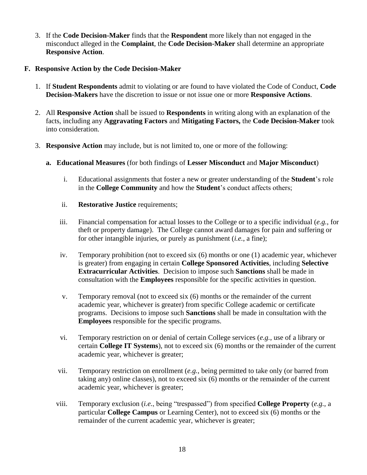- 3. If the **Code Decision-Maker** finds that the **Respondent** more likely than not engaged in the misconduct alleged in the **Complaint**, the **Code Decision-Maker** shall determine an appropriate **Responsive Action**.
- **F. Responsive Action by the Code Decision-Maker** 
	- 1. If **Student Respondents** admit to violating or are found to have violated the Code of Conduct, **Code Decision-Makers** have the discretion to issue or not issue one or more **Responsive Actions**.
	- 2. All **Responsive Action** shall be issued to **Respondents** in writing along with an explanation of the facts, including any **Aggravating Factors** and **Mitigating Factors,** the **Code Decision-Maker** took into consideration.
	- 3. **Responsive Action** may include, but is not limited to, one or more of the following:
		- **a. Educational Measures** (for both findings of **Lesser Misconduct** and **Major Misconduct**)
			- i. Educational assignments that foster a new or greater understanding of the **Student**'s role in the **College Community** and how the **Student**'s conduct affects others;
			- ii. **Restorative Justice** requirements;
			- iii. Financial compensation for actual losses to the College or to a specific individual (*e.g.*, for theft or property damage). The College cannot award damages for pain and suffering or for other intangible injuries, or purely as punishment (*i.e.*, a fine);
			- iv. Temporary prohibition (not to exceed six (6) months or one (1) academic year, whichever is greater) from engaging in certain **College Sponsored Activities**, including **Selective Extracurricular Activities**. Decision to impose such **Sanctions** shall be made in consultation with the **Employees** responsible for the specific activities in question.
			- v. Temporary removal (not to exceed six (6) months or the remainder of the current academic year, whichever is greater) from specific College academic or certificate programs. Decisions to impose such **Sanctions** shall be made in consultation with the **Employees** responsible for the specific programs.
			- vi. Temporary restriction on or denial of certain College services (*e.g.*, use of a library or certain **College IT Systems**), not to exceed six (6) months or the remainder of the current academic year, whichever is greater;
			- vii. Temporary restriction on enrollment (*e.g.*, being permitted to take only (or barred from taking any) online classes), not to exceed six (6) months or the remainder of the current academic year, whichever is greater;
			- viii. Temporary exclusion (*i.e.*, being "trespassed") from specified **College Property** (*e.g.*, a particular **College Campus** or Learning Center), not to exceed six (6) months or the remainder of the current academic year, whichever is greater;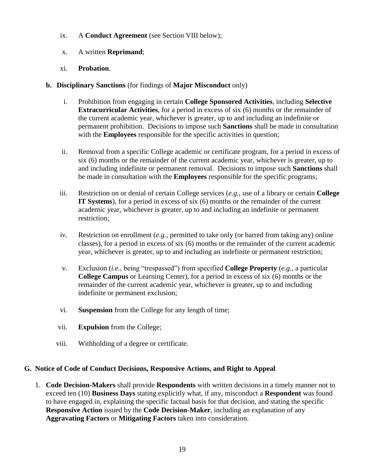- ix. A **Conduct Agreement** (see Section VIII below);
- x. A written **Reprimand**;
- xi. **Probation**.
- **b. Disciplinary Sanctions** (for findings of **Major Misconduct** only)
	- i. Prohibition from engaging in certain **College Sponsored Activities**, including **Selective Extracurricular Activities**, for a period in excess of six (6) months or the remainder of the current academic year, whichever is greater, up to and including an indefinite or permanent prohibition. Decisions to impose such **Sanctions** shall be made in consultation with the **Employees** responsible for the specific activities in question;
	- ii. Removal from a specific College academic or certificate program, for a period in excess of six (6) months or the remainder of the current academic year, whichever is greater, up to and including indefinite or permanent removal. Decisions to impose such **Sanctions** shall be made in consultation with the **Employees** responsible for the specific programs;
	- iii. Restriction on or denial of certain College services (*e.g.*, use of a library or certain **College IT Systems**), for a period in excess of six (6) months or the remainder of the current academic year, whichever is greater, up to and including an indefinite or permanent restriction;
	- iv. Restriction on enrollment (*e.g.*, permitted to take only (or barred from taking any) online classes), for a period in excess of six (6) months or the remainder of the current academic year, whichever is greater, up to and including an indefinite or permanent restriction;
	- v. Exclusion (*i.e.*, being "trespassed") from specified **College Property** (*e.g.*, a particular **College Campus** or Learning Center), for a period in excess of six (6) months or the remainder of the current academic year, whichever is greater, up to and including indefinite or permanent exclusion;
	- vi. **Suspension** from the College for any length of time;
	- vii. **Expulsion** from the College;
	- viii. Withholding of a degree or certificate.

## **G. Notice of Code of Conduct Decisions, Responsive Actions, and Right to Appeal**

1. **Code Decision-Makers** shall provide **Respondents** with written decisions in a timely manner not to exceed ten (10) **Business Days** stating explicitly what, if any, misconduct a **Respondent** was found to have engaged in, explaining the specific factual basis for that decision, and stating the specific **Responsive Action** issued by the **Code Decision-Maker**, including an explanation of any **Aggravating Factors** or **Mitigating Factors** taken into consideration.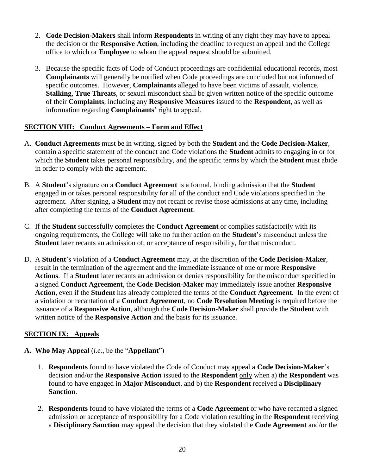- 2. **Code Decision-Makers** shall inform **Respondents** in writing of any right they may have to appeal the decision or the **Responsive Action**, including the deadline to request an appeal and the College office to which or **Employee** to whom the appeal request should be submitted.
- 3. Because the specific facts of Code of Conduct proceedings are confidential educational records, most **Complainants** will generally be notified when Code proceedings are concluded but not informed of specific outcomes. However, **Complainants** alleged to have been victims of assault, violence, **Stalking**, **True Threats**, or sexual misconduct shall be given written notice of the specific outcome of their **Complaints**, including any **Responsive Measures** issued to the **Respondent**, as well as information regarding **Complainants**' right to appeal.

## **SECTION VIII: Conduct Agreements – Form and Effect**

- A. **Conduct Agreements** must be in writing, signed by both the **Student** and the **Code Decision-Maker**, contain a specific statement of the conduct and Code violations the **Student** admits to engaging in or for which the **Student** takes personal responsibility, and the specific terms by which the **Student** must abide in order to comply with the agreement.
- B. A **Student**'s signature on a **Conduct Agreement** is a formal, binding admission that the **Student** engaged in or takes personal responsibility for all of the conduct and Code violations specified in the agreement. After signing, a **Student** may not recant or revise those admissions at any time, including after completing the terms of the **Conduct Agreement**.
- C. If the **Student** successfully completes the **Conduct Agreement** or complies satisfactorily with its ongoing requirements, the College will take no further action on the **Student**'s misconduct unless the **Student** later recants an admission of, or acceptance of responsibility, for that misconduct.
- D. A **Student**'s violation of a **Conduct Agreement** may, at the discretion of the **Code Decision-Maker**, result in the termination of the agreement and the immediate issuance of one or more **Responsive Actions**. If a **Student** later recants an admission or denies responsibility for the misconduct specified in a signed **Conduct Agreement**, the **Code Decision-Maker** may immediately issue another **Responsive Action**, even if the **Student** has already completed the terms of the **Conduct Agreement**. In the event of a violation or recantation of a **Conduct Agreement**, no **Code Resolution Meeting** is required before the issuance of a **Responsive Action**, although the **Code Decision-Maker** shall provide the **Student** with written notice of the **Responsive Action** and the basis for its issuance.

## **SECTION IX: Appeals**

- **A. Who May Appeal** (*i.e.*, be the "**Appellant**")
	- 1. **Respondents** found to have violated the Code of Conduct may appeal a **Code Decision-Maker**'s decision and/or the **Responsive Action** issued to the **Respondent** only when a) the **Respondent** was found to have engaged in **Major Misconduct**, and b) the **Respondent** received a **Disciplinary Sanction**.
	- 2. **Respondents** found to have violated the terms of a **Code Agreement** or who have recanted a signed admission or acceptance of responsibility for a Code violation resulting in the **Respondent** receiving a **Disciplinary Sanction** may appeal the decision that they violated the **Code Agreement** and/or the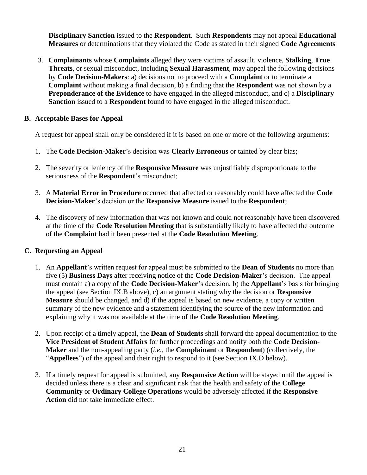**Disciplinary Sanction** issued to the **Respondent**. Such **Respondents** may not appeal **Educational Measures** or determinations that they violated the Code as stated in their signed **Code Agreements** 

3. **Complainants** whose **Complaints** alleged they were victims of assault, violence, **Stalking**, **True Threats**, or sexual misconduct, including **Sexual Harassment**, may appeal the following decisions by **Code Decision-Makers**: a) decisions not to proceed with a **Complaint** or to terminate a **Complaint** without making a final decision, b) a finding that the **Respondent** was not shown by a **Preponderance of the Evidence** to have engaged in the alleged misconduct, and c) a **Disciplinary Sanction** issued to a **Respondent** found to have engaged in the alleged misconduct.

## **B. Acceptable Bases for Appeal**

A request for appeal shall only be considered if it is based on one or more of the following arguments:

- 1. The **Code Decision-Maker**'s decision was **Clearly Erroneous** or tainted by clear bias;
- 2. The severity or leniency of the **Responsive Measure** was unjustifiably disproportionate to the seriousness of the **Respondent**'s misconduct;
- 3. A **Material Error in Procedure** occurred that affected or reasonably could have affected the **Code Decision-Maker**'s decision or the **Responsive Measure** issued to the **Respondent**;
- 4. The discovery of new information that was not known and could not reasonably have been discovered at the time of the **Code Resolution Meeting** that is substantially likely to have affected the outcome of the **Complaint** had it been presented at the **Code Resolution Meeting**.

## **C. Requesting an Appeal**

- 1. An **Appellant**'s written request for appeal must be submitted to the **Dean of Students** no more than five (5) **Business Days** after receiving notice of the **Code Decision-Maker**'s decision. The appeal must contain a) a copy of the **Code Decision-Maker**'s decision, b) the **Appellant**'s basis for bringing the appeal (see Section IX.B above), c) an argument stating why the decision or **Responsive Measure** should be changed, and d) if the appeal is based on new evidence, a copy or written summary of the new evidence and a statement identifying the source of the new information and explaining why it was not available at the time of the **Code Resolution Meeting**.
- 2. Upon receipt of a timely appeal, the **Dean of Students** shall forward the appeal documentation to the **Vice President of Student Affairs** for further proceedings and notify both the **Code Decision-Maker** and the non-appealing party (*i.e.*, the **Complainant** or **Respondent**) (collectively, the "**Appellees**") of the appeal and their right to respond to it (see Section IX.D below).
- 3. If a timely request for appeal is submitted, any **Responsive Action** will be stayed until the appeal is decided unless there is a clear and significant risk that the health and safety of the **College Community** or **Ordinary College Operations** would be adversely affected if the **Responsive Action** did not take immediate effect.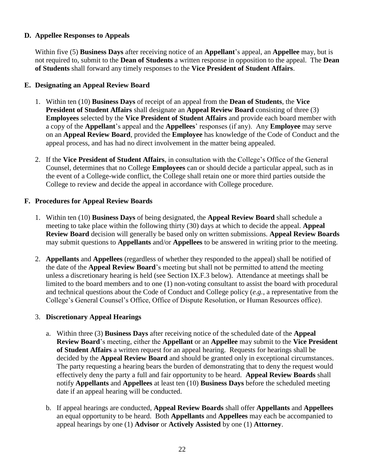## **D. Appellee Responses to Appeals**

Within five (5) **Business Days** after receiving notice of an **Appellant**'s appeal, an **Appellee** may, but is not required to, submit to the **Dean of Students** a written response in opposition to the appeal. The **Dean of Students** shall forward any timely responses to the **Vice President of Student Affairs**.

## **E. Designating an Appeal Review Board**

- 1. Within ten (10) **Business Days** of receipt of an appeal from the **Dean of Students**, the **Vice President of Student Affairs** shall designate an **Appeal Review Board** consisting of three (3) **Employees** selected by the **Vice President of Student Affairs** and provide each board member with a copy of the **Appellant**'s appeal and the **Appellees**' responses (if any). Any **Employee** may serve on an **Appeal Review Board**, provided the **Employee** has knowledge of the Code of Conduct and the appeal process, and has had no direct involvement in the matter being appealed.
- 2. If the **Vice President of Student Affairs**, in consultation with the College's Office of the General Counsel, determines that no College **Employees** can or should decide a particular appeal, such as in the event of a College-wide conflict, the College shall retain one or more third parties outside the College to review and decide the appeal in accordance with College procedure.

## **F. Procedures for Appeal Review Boards**

- 1. Within ten (10) **Business Days** of being designated, the **Appeal Review Board** shall schedule a meeting to take place within the following thirty (30) days at which to decide the appeal. **Appeal Review Board** decision will generally be based only on written submissions. **Appeal Review Boards** may submit questions to **Appellants** and/or **Appellees** to be answered in writing prior to the meeting.
- 2. **Appellants** and **Appellees** (regardless of whether they responded to the appeal) shall be notified of the date of the **Appeal Review Board**'s meeting but shall not be permitted to attend the meeting unless a discretionary hearing is held (see Section IX.F.3 below). Attendance at meetings shall be limited to the board members and to one (1) non-voting consultant to assist the board with procedural and technical questions about the Code of Conduct and College policy (*e.g.*, a representative from the College's General Counsel's Office, Office of Dispute Resolution, or Human Resources office).

## 3. **Discretionary Appeal Hearings**

- a. Within three (3) **Business Days** after receiving notice of the scheduled date of the **Appeal Review Board**'s meeting, either the **Appellant** or an **Appellee** may submit to the **Vice President of Student Affairs** a written request for an appeal hearing. Requests for hearings shall be decided by the **Appeal Review Board** and should be granted only in exceptional circumstances. The party requesting a hearing bears the burden of demonstrating that to deny the request would effectively deny the party a full and fair opportunity to be heard. **Appeal Review Boards** shall notify **Appellants** and **Appellees** at least ten (10) **Business Days** before the scheduled meeting date if an appeal hearing will be conducted.
- b. If appeal hearings are conducted, **Appeal Review Boards** shall offer **Appellants** and **Appellees**  an equal opportunity to be heard. Both **Appellants** and **Appellees** may each be accompanied to appeal hearings by one (1) **Advisor** or **Actively Assisted** by one (1) **Attorney**.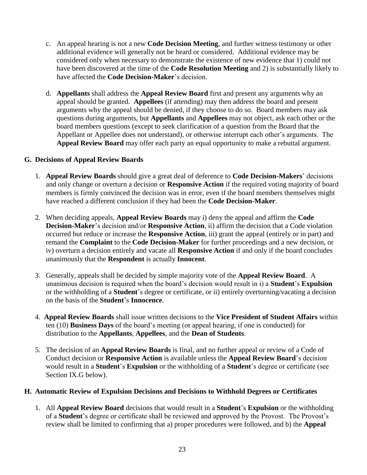- c. An appeal hearing is not a new **Code Decision Meeting**, and further witness testimony or other additional evidence will generally not be heard or considered.Additional evidence may be considered only when necessary to demonstrate the existence of new evidence that 1) could not have been discovered at the time of the **Code Resolution Meeting** and 2) is substantially likely to have affected the **Code Decision-Maker**'s decision.
- d. **Appellants** shall address the **Appeal Review Board** first and present any arguments why an appeal should be granted. **Appellees** (if attending) may then address the board and present arguments why the appeal should be denied, if they choose to do so. Board members may ask questions during arguments, but **Appellants** and **Appellees** may not object, ask each other or the board members questions (except to seek clarification of a question from the Board that the Appellant or Appellee does not understand), or otherwise interrupt each other's arguments. The **Appeal Review Board** may offer each party an equal opportunity to make a rebuttal argument.

#### **G. Decisions of Appeal Review Boards**

- 1. **Appeal Review Boards** should give a great deal of deference to **Code Decision-Makers**' decisions and only change or overturn a decision or **Responsive Action** if the required voting majority of board members is firmly convinced the decision was in error, even if the board members themselves might have reached a different conclusion if they had been the **Code Decision-Maker**.
- 2. When deciding appeals, **Appeal Review Boards** may i) deny the appeal and affirm the **Code Decision-Maker**'s decision and/or **Responsive Action**, ii) affirm the decision that a Code violation occurred but reduce or increase the **Responsive Action**, iii) grant the appeal (entirely or in part) and remand the **Complaint** to the **Code Decision-Maker** for further proceedings and a new decision, or iv) overturn a decision entirely and vacate all **Responsive Action** if and only if the board concludes unanimously that the **Respondent** is actually **Innocent**.
- 3. Generally, appeals shall be decided by simple majority vote of the **Appeal Review Board**. A unanimous decision is required when the board's decision would result in i) a **Student**'s **Expulsion** or the withholding of a **Student**'s degree or certificate, or ii) entirely overturning/vacating a decision on the basis of the **Student**'s **Innocence**.
- 4. **Appeal Review Boards** shall issue written decisions to the **Vice President of Student Affairs** within ten (10) **Business Days** of the board's meeting (or appeal hearing, if one is conducted) for distribution to the **Appellants**, **Appellees**, and the **Dean of Students**.
- 5. The decision of an **Appeal Review Boards** is final, and no further appeal or review of a Code of Conduct decision or **Responsive Action** is available unless the **Appeal Review Board**'s decision would result in a **Student**'s **Expulsion** or the withholding of a **Student**'s degree or certificate (see Section IX.G below).

#### **H. Automatic Review of Expulsion Decisions and Decisions to Withhold Degrees or Certificates**

1. All **Appeal Review Board** decisions that would result in a **Student**'s **Expulsion** or the withholding of a **Student**'s degree or certificate shall be reviewed and approved by the Provost. The Provost's review shall be limited to confirming that a) proper procedures were followed, and b) the **Appeal**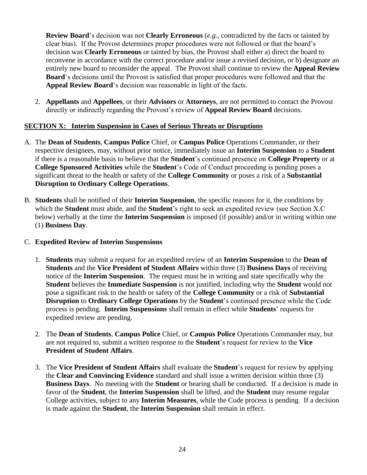**Review Board**'s decision was not **Clearly Erroneous** (*e.g.*, contradicted by the facts or tainted by clear bias). If the Provost determines proper procedures were not followed or that the board's decision was **Clearly Erroneous** or tainted by bias, the Provost shall either a) direct the board to reconvene in accordance with the correct procedure and/or issue a revised decision, or b) designate an entirely new board to reconsider the appeal. The Provost shall continue to review the **Appeal Review Board**'s decisions until the Provost is satisfied that proper procedures were followed and that the **Appeal Review Board**'s decision was reasonable in light of the facts.

2. **Appellants** and **Appellees**, or their **Advisors** or **Attorneys**, are not permitted to contact the Provost directly or indirectly regarding the Provost's review of **Appeal Review Board** decisions.

## **SECTION X: Interim Suspension in Cases of Serious Threats or Disruptions**

- A. The **Dean of Students**, **Campus Police** Chief, or **Campus Police** Operations Commander, or their respective designees, may, without prior notice, immediately issue an **Interim Suspension** to a **Student** if there is a reasonable basis to believe that the **Student**'s continued presence on **College Property** or at **College Sponsored Activities** while the **Student**'s Code of Conduct proceeding is pending poses a significant threat to the health or safety of the **College Community** or poses a risk of a **Substantial Disruption to Ordinary College Operations**.
- B. **Students** shall be notified of their **Interim Suspension**, the specific reasons for it, the conditions by which the **Student** must abide, and the **Student**'s right to seek an expedited review (see Section X.C below) verbally at the time the **Interim Suspension** is imposed (if possible) and/or in writing within one (1) **Business Day**.

## C. **Expedited Review of Interim Suspensions**

- 1. **Students** may submit a request for an expedited review of an **Interim Suspension** to the **Dean of Students** and the **Vice President of Student Affairs** within three (3) **Business Days** of receiving notice of the **Interim Suspension**. The request must be in writing and state specifically why the **Student** believes the **Immediate Suspension** is not justified, including why the **Student** would not pose a significant risk to the health or safety of the **College Community** or a risk of **Substantial Disruption** to **Ordinary College Operations** by the **Student**'s continued presence while the Code process is pending. **Interim Suspensions** shall remain in effect while **Students**' requests for expedited review are pending.
- 2. The **Dean of Students**, **Campus Police** Chief, or **Campus Police** Operations Commander may, but are not required to, submit a written response to the **Student**'s request for review to the **Vice President of Student Affairs**.
- 3. The **Vice President of Student Affairs** shall evaluate the **Student**'s request for review by applying the **Clear and Convincing Evidence** standard and shall issue a written decision within three (3) **Business Days**. No meeting with the **Student** or hearing shall be conducted. If a decision is made in favor of the **Student**, the **Interim Suspension** shall be lifted, and the **Student** may resume regular College activities, subject to any **Interim Measures**, while the Code process is pending. If a decision is made against the **Student**, the **Interim Suspension** shall remain in effect.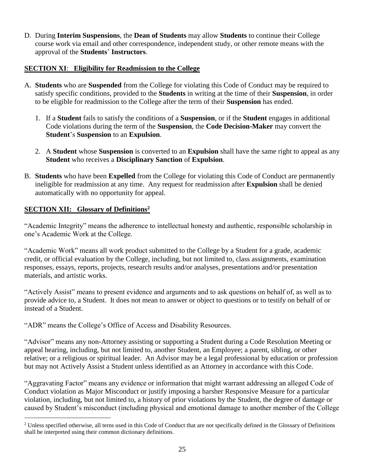D. During **Interim Suspensions**, the **Dean of Students** may allow **Students** to continue their College course work via email and other correspondence, independent study, or other remote means with the approval of the **Students**' **Instructors**.

## **SECTION XI**: **Eligibility for Readmission to the College**

- A. **Students** who are **Suspended** from the College for violating this Code of Conduct may be required to satisfy specific conditions, provided to the **Students** in writing at the time of their **Suspension**, in order to be eligible for readmission to the College after the term of their **Suspension** has ended.
	- 1. If a **Student** fails to satisfy the conditions of a **Suspension**, or if the **Student** engages in additional Code violations during the term of the **Suspension**, the **Code Decision-Maker** may convert the **Student**'s **Suspension** to an **Expulsion**.
	- 2. A **Student** whose **Suspension** is converted to an **Expulsion** shall have the same right to appeal as any **Student** who receives a **Disciplinary Sanction** of **Expulsion**.
- B. **Students** who have been **Expelled** from the College for violating this Code of Conduct are permanently ineligible for readmission at any time. Any request for readmission after **Expulsion** shall be denied automatically with no opportunity for appeal.

## **SECTION XII: Glossary of Definitions<sup>2</sup>**

 $\overline{a}$ 

"Academic Integrity" means the adherence to intellectual honesty and authentic, responsible scholarship in one's Academic Work at the College.

"Academic Work" means all work product submitted to the College by a Student for a grade, academic credit, or official evaluation by the College, including, but not limited to, class assignments, examination responses, essays, reports, projects, research results and/or analyses, presentations and/or presentation materials, and artistic works.

"Actively Assist" means to present evidence and arguments and to ask questions on behalf of, as well as to provide advice to, a Student. It does not mean to answer or object to questions or to testify on behalf of or instead of a Student.

"ADR" means the College's Office of Access and Disability Resources.

"Advisor" means any non-Attorney assisting or supporting a Student during a Code Resolution Meeting or appeal hearing, including, but not limited to, another Student, an Employee; a parent, sibling, or other relative; or a religious or spiritual leader. An Advisor may be a legal professional by education or profession but may not Actively Assist a Student unless identified as an Attorney in accordance with this Code.

"Aggravating Factor" means any evidence or information that might warrant addressing an alleged Code of Conduct violation as Major Misconduct or justify imposing a harsher Responsive Measure for a particular violation, including, but not limited to, a history of prior violations by the Student, the degree of damage or caused by Student's misconduct (including physical and emotional damage to another member of the College

<sup>&</sup>lt;sup>2</sup> Unless specified otherwise, all terns used in this Code of Conduct that are not specifically defined in the Glossary of Definitions shall be interpreted using their common dictionary definitions.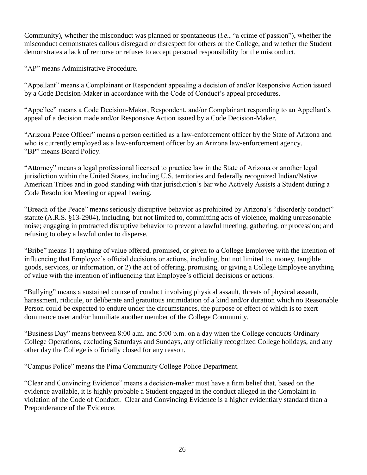Community), whether the misconduct was planned or spontaneous (*i.e.*, "a crime of passion"), whether the misconduct demonstrates callous disregard or disrespect for others or the College, and whether the Student demonstrates a lack of remorse or refuses to accept personal responsibility for the misconduct.

"AP" means Administrative Procedure.

"Appellant" means a Complainant or Respondent appealing a decision of and/or Responsive Action issued by a Code Decision-Maker in accordance with the Code of Conduct's appeal procedures.

"Appellee" means a Code Decision-Maker, Respondent, and/or Complainant responding to an Appellant's appeal of a decision made and/or Responsive Action issued by a Code Decision-Maker.

"Arizona Peace Officer" means a person certified as a law-enforcement officer by the State of Arizona and who is currently employed as a law-enforcement officer by an Arizona law-enforcement agency. "BP" means Board Policy.

"Attorney" means a legal professional licensed to practice law in the State of Arizona or another legal jurisdiction within the United States, including U.S. territories and federally recognized Indian/Native American Tribes and in good standing with that jurisdiction's bar who Actively Assists a Student during a Code Resolution Meeting or appeal hearing.

"Breach of the Peace" means seriously disruptive behavior as prohibited by Arizona's "disorderly conduct" statute (A.R.S. §13-2904), including, but not limited to, committing acts of violence, making unreasonable noise; engaging in protracted disruptive behavior to prevent a lawful meeting, gathering, or procession; and refusing to obey a lawful order to disperse.

"Bribe" means 1) anything of value offered, promised, or given to a College Employee with the intention of influencing that Employee's official decisions or actions, including, but not limited to, money, tangible goods, services, or information, or 2) the act of offering, promising, or giving a College Employee anything of value with the intention of influencing that Employee's official decisions or actions.

"Bullying" means a sustained course of conduct involving physical assault, threats of physical assault, harassment, ridicule, or deliberate and gratuitous intimidation of a kind and/or duration which no Reasonable Person could be expected to endure under the circumstances, the purpose or effect of which is to exert dominance over and/or humiliate another member of the College Community.

"Business Day" means between 8:00 a.m. and 5:00 p.m. on a day when the College conducts Ordinary College Operations, excluding Saturdays and Sundays, any officially recognized College holidays, and any other day the College is officially closed for any reason.

"Campus Police" means the Pima Community College Police Department.

"Clear and Convincing Evidence" means a decision-maker must have a firm belief that, based on the evidence available, it is highly probable a Student engaged in the conduct alleged in the Complaint in violation of the Code of Conduct. Clear and Convincing Evidence is a higher evidentiary standard than a Preponderance of the Evidence.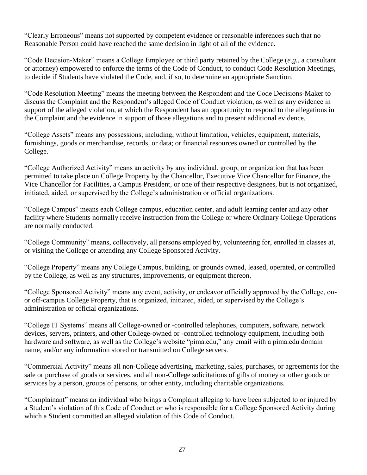"Clearly Erroneous" means not supported by competent evidence or reasonable inferences such that no Reasonable Person could have reached the same decision in light of all of the evidence.

"Code Decision-Maker" means a College Employee or third party retained by the College (*e.g.*, a consultant or attorney) empowered to enforce the terms of the Code of Conduct, to conduct Code Resolution Meetings, to decide if Students have violated the Code, and, if so, to determine an appropriate Sanction.

"Code Resolution Meeting" means the meeting between the Respondent and the Code Decisions-Maker to discuss the Complaint and the Respondent's alleged Code of Conduct violation, as well as any evidence in support of the alleged violation, at which the Respondent has an opportunity to respond to the allegations in the Complaint and the evidence in support of those allegations and to present additional evidence.

"College Assets" means any possessions; including, without limitation, vehicles, equipment, materials, furnishings, goods or merchandise, records, or data; or financial resources owned or controlled by the College.

"College Authorized Activity" means an activity by any individual, group, or organization that has been permitted to take place on College Property by the Chancellor, Executive Vice Chancellor for Finance, the Vice Chancellor for Facilities, a Campus President, or one of their respective designees, but is not organized, initiated, aided, or supervised by the College's administration or official organizations.

"College Campus" means each College campus, education center, and adult learning center and any other facility where Students normally receive instruction from the College or where Ordinary College Operations are normally conducted.

"College Community" means, collectively, all persons employed by, volunteering for, enrolled in classes at, or visiting the College or attending any College Sponsored Activity.

"College Property" means any College Campus, building, or grounds owned, leased, operated, or controlled by the College, as well as any structures, improvements, or equipment thereon.

"College Sponsored Activity" means any event, activity, or endeavor officially approved by the College, onor off-campus College Property, that is organized, initiated, aided, or supervised by the College's administration or official organizations.

"College IT Systems" means all College-owned or -controlled telephones, computers, software, network devices, servers, printers, and other College-owned or -controlled technology equipment, including both hardware and software, as well as the College's website "pima.edu," any email with a pima.edu domain name, and/or any information stored or transmitted on College servers.

"Commercial Activity" means all non-College advertising, marketing, sales, purchases, or agreements for the sale or purchase of goods or services, and all non-College solicitations of gifts of money or other goods or services by a person, groups of persons, or other entity, including charitable organizations.

"Complainant" means an individual who brings a Complaint alleging to have been subjected to or injured by a Student's violation of this Code of Conduct or who is responsible for a College Sponsored Activity during which a Student committed an alleged violation of this Code of Conduct.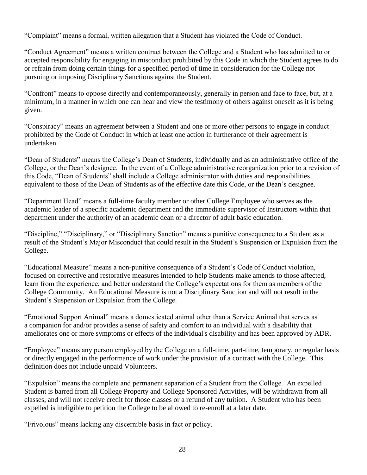"Complaint" means a formal, written allegation that a Student has violated the Code of Conduct.

"Conduct Agreement" means a written contract between the College and a Student who has admitted to or accepted responsibility for engaging in misconduct prohibited by this Code in which the Student agrees to do or refrain from doing certain things for a specified period of time in consideration for the College not pursuing or imposing Disciplinary Sanctions against the Student.

"Confront" means to oppose directly and contemporaneously, generally in person and face to face, but, at a minimum, in a manner in which one can hear and view the testimony of others against oneself as it is being given.

"Conspiracy" means an agreement between a Student and one or more other persons to engage in conduct prohibited by the Code of Conduct in which at least one action in furtherance of their agreement is undertaken.

"Dean of Students" means the College's Dean of Students, individually and as an administrative office of the College, or the Dean's designee. In the event of a College administrative reorganization prior to a revision of this Code, "Dean of Students" shall include a College administrator with duties and responsibilities equivalent to those of the Dean of Students as of the effective date this Code, or the Dean's designee.

"Department Head" means a full-time faculty member or other College Employee who serves as the academic leader of a specific academic department and the immediate supervisor of Instructors within that department under the authority of an academic dean or a director of adult basic education.

"Discipline," "Disciplinary," or "Disciplinary Sanction" means a punitive consequence to a Student as a result of the Student's Major Misconduct that could result in the Student's Suspension or Expulsion from the College.

"Educational Measure" means a non-punitive consequence of a Student's Code of Conduct violation, focused on corrective and restorative measures intended to help Students make amends to those affected, learn from the experience, and better understand the College's expectations for them as members of the College Community. An Educational Measure is not a Disciplinary Sanction and will not result in the Student's Suspension or Expulsion from the College.

"Emotional Support Animal" means a domesticated animal other than a Service Animal that serves as a companion for and/or provides a sense of safety and comfort to an individual with a disability that ameliorates one or more symptoms or effects of the individual's disability and has been approved by ADR.

"Employee" means any person employed by the College on a full-time, part-time, temporary, or regular basis or directly engaged in the performance of work under the provision of a contract with the College. This definition does not include unpaid Volunteers.

"Expulsion" means the complete and permanent separation of a Student from the College. An expelled Student is barred from all College Property and College Sponsored Activities, will be withdrawn from all classes, and will not receive credit for those classes or a refund of any tuition. A Student who has been expelled is ineligible to petition the College to be allowed to re-enroll at a later date.

"Frivolous" means lacking any discernible basis in fact or policy.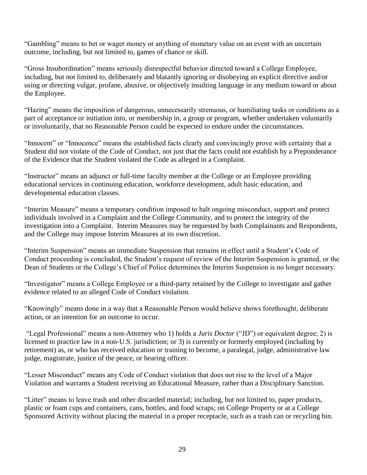"Gambling" means to bet or wager money or anything of monetary value on an event with an uncertain outcome, including, but not limited to, games of chance or skill.

"Gross Insubordination" means seriously disrespectful behavior directed toward a College Employee, including, but not limited to, deliberately and blatantly ignoring or disobeying an explicit directive and/or using or directing vulgar, profane, abusive, or objectively insulting language in any medium toward or about the Employee.

"Hazing" means the imposition of dangerous, unnecessarily strenuous, or humiliating tasks or conditions as a part of acceptance or initiation into, or membership in, a group or program, whether undertaken voluntarily or involuntarily, that no Reasonable Person could be expected to endure under the circumstances.

"Innocent" or "Innocence" means the established facts clearly and convincingly prove with certainty that a Student did not violate of the Code of Conduct, not just that the facts could not establish by a Preponderance of the Evidence that the Student violated the Code as alleged in a Complaint.

"Instructor" means an adjunct or full-time faculty member at the College or an Employee providing educational services in continuing education, workforce development, adult basic education, and developmental education classes.

"Interim Measure" means a temporary condition imposed to halt ongoing misconduct, support and protect individuals involved in a Complaint and the College Community, and to protect the integrity of the investigation into a Complaint. Interim Measures may be requested by both Complainants and Respondents, and the College may impose Interim Measures at its own discretion.

"Interim Suspension" means an immediate Suspension that remains in effect until a Student's Code of Conduct proceeding is concluded, the Student's request of review of the Interim Suspension is granted, or the Dean of Students or the College's Chief of Police determines the Interim Suspension is no longer necessary.

"Investigator" means a College Employee or a third-party retained by the College to investigate and gather evidence related to an alleged Code of Conduct violation.

"Knowingly" means done in a way that a Reasonable Person would believe shows forethought, deliberate action, or an intention for an outcome to occur.

"Legal Professional" means a non-Attorney who 1) holds a *Juris Doctor* ("JD") or equivalent degree; 2) is licensed to practice law in a non-U.S. jurisdiction; or 3) is currently or formerly employed (including by retirement) as, or who has received education or training to become, a paralegal, judge, administrative law judge, magistrate, justice of the peace, or hearing officer.

"Lesser Misconduct" means any Code of Conduct violation that does not rise to the level of a Major Violation and warrants a Student receiving an Educational Measure, rather than a Disciplinary Sanction.

"Litter" means to leave trash and other discarded material; including, but not limited to, paper products, plastic or foam cups and containers, cans, bottles, and food scraps; on College Property or at a College Sponsored Activity without placing the material in a proper receptacle, such as a trash can or recycling bin.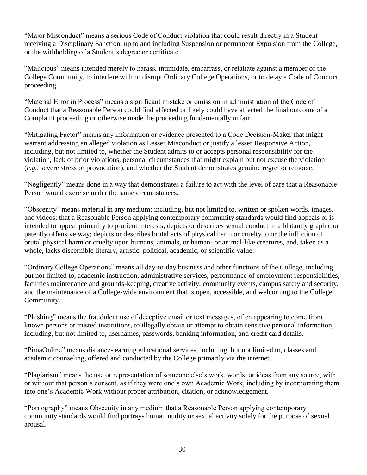"Major Misconduct" means a serious Code of Conduct violation that could result directly in a Student receiving a Disciplinary Sanction, up to and including Suspension or permanent Expulsion from the College, or the withholding of a Student's degree or certificate.

"Malicious" means intended merely to harass, intimidate, embarrass, or retaliate against a member of the College Community, to interfere with or disrupt Ordinary College Operations, or to delay a Code of Conduct proceeding.

"Material Error in Process" means a significant mistake or omission in administration of the Code of Conduct that a Reasonable Person could find affected or likely could have affected the final outcome of a Complaint proceeding or otherwise made the proceeding fundamentally unfair.

"Mitigating Factor" means any information or evidence presented to a Code Decision-Maker that might warrant addressing an alleged violation as Lesser Misconduct or justify a lesser Responsive Action, including, but not limited to, whether the Student admits to or accepts personal responsibility for the violation, lack of prior violations, personal circumstances that might explain but not excuse the violation (*e.g.*, severe stress or provocation), and whether the Student demonstrates genuine regret or remorse.

"Negligently" means done in a way that demonstrates a failure to act with the level of care that a Reasonable Person would exercise under the same circumstances.

"Obscenity" means material in any medium; including, but not limited to, written or spoken words, images, and videos; that a Reasonable Person applying contemporary community standards would find appeals or is intended to appeal primarily to prurient interests; depicts or describes sexual conduct in a blatantly graphic or patently offensive way; depicts or describes brutal acts of physical harm or cruelty to or the infliction of brutal physical harm or cruelty upon humans, animals, or human- or animal-like creatures, and, taken as a whole, lacks discernible literary, artistic, political, academic, or scientific value.

"Ordinary College Operations" means all day-to-day business and other functions of the College, including, but not limited to, academic instruction, administrative services, performance of employment responsibilities, facilities maintenance and grounds-keeping, creative activity, community events, campus safety and security, and the maintenance of a College-wide environment that is open, accessible, and welcoming to the College Community.

"Phishing" means the fraudulent use of deceptive email or text messages, often appearing to come from known persons or trusted institutions, to illegally obtain or attempt to obtain sensitive personal information, including, but not limited to, usernames, passwords, banking information, and credit card details.

"PimaOnline" means distance-learning educational services, including, but not limited to, classes and academic counseling, offered and conducted by the College primarily via the internet.

"Plagiarism" means the use or representation of someone else's work, words, or ideas from any source, with or without that person's consent, as if they were one's own Academic Work, including by incorporating them into one's Academic Work without proper attribution, citation, or acknowledgement.

"Pornography" means Obscenity in any medium that a Reasonable Person applying contemporary community standards would find portrays human nudity or sexual activity solely for the purpose of sexual arousal.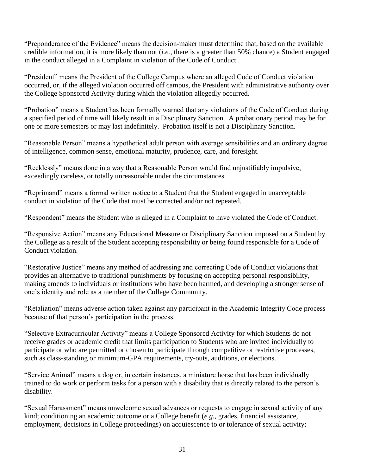"Preponderance of the Evidence" means the decision-maker must determine that, based on the available credible information, it is more likely than not (*i.e.*, there is a greater than 50% chance) a Student engaged in the conduct alleged in a Complaint in violation of the Code of Conduct

"President" means the President of the College Campus where an alleged Code of Conduct violation occurred, or, if the alleged violation occurred off campus, the President with administrative authority over the College Sponsored Activity during which the violation allegedly occurred.

"Probation" means a Student has been formally warned that any violations of the Code of Conduct during a specified period of time will likely result in a Disciplinary Sanction. A probationary period may be for one or more semesters or may last indefinitely. Probation itself is not a Disciplinary Sanction.

"Reasonable Person" means a hypothetical adult person with average sensibilities and an ordinary degree of intelligence, common sense, emotional maturity, prudence, care, and foresight.

"Recklessly" means done in a way that a Reasonable Person would find unjustifiably impulsive, exceedingly careless, or totally unreasonable under the circumstances.

"Reprimand" means a formal written notice to a Student that the Student engaged in unacceptable conduct in violation of the Code that must be corrected and/or not repeated.

"Respondent" means the Student who is alleged in a Complaint to have violated the Code of Conduct.

"Responsive Action" means any Educational Measure or Disciplinary Sanction imposed on a Student by the College as a result of the Student accepting responsibility or being found responsible for a Code of Conduct violation.

"Restorative Justice" means any method of addressing and correcting Code of Conduct violations that provides an alternative to traditional punishments by focusing on accepting personal responsibility, making amends to individuals or institutions who have been harmed, and developing a stronger sense of one's identity and role as a member of the College Community.

"Retaliation" means adverse action taken against any participant in the Academic Integrity Code process because of that person's participation in the process.

"Selective Extracurricular Activity" means a College Sponsored Activity for which Students do not receive grades or academic credit that limits participation to Students who are invited individually to participate or who are permitted or chosen to participate through competitive or restrictive processes, such as class-standing or minimum-GPA requirements, try-outs, auditions, or elections.

"Service Animal" means a dog or, in certain instances, a miniature horse that has been individually trained to do work or perform tasks for a person with a disability that is directly related to the person's disability.

"Sexual Harassment" means unwelcome sexual advances or requests to engage in sexual activity of any kind; conditioning an academic outcome or a College benefit (*e.g.*, grades, financial assistance, employment, decisions in College proceedings) on acquiescence to or tolerance of sexual activity;